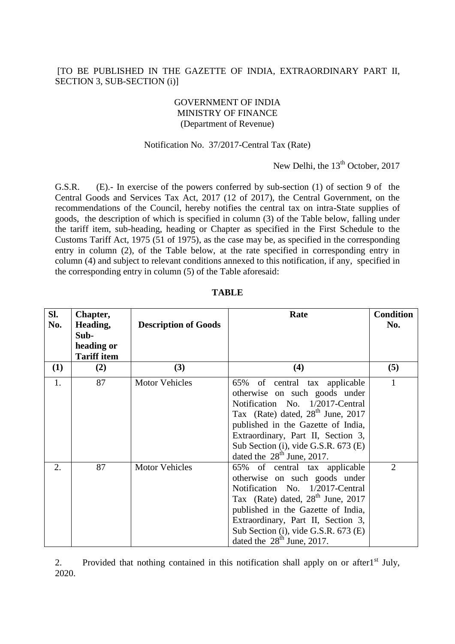## [TO BE PUBLISHED IN THE GAZETTE OF INDIA, EXTRAORDINARY PART II, SECTION 3, SUB-SECTION (i)]

### GOVERNMENT OF INDIA MINISTRY OF FINANCE (Department of Revenue)

#### Notification No. 37/2017-Central Tax (Rate)

# New Delhi, the 13<sup>th</sup> October, 2017

G.S.R. (E).- In exercise of the powers conferred by sub-section (1) of section 9 of the Central Goods and Services Tax Act, 2017 (12 of 2017), the Central Government, on the recommendations of the Council, hereby notifies the central tax on intra-State supplies of goods, the description of which is specified in column (3) of the Table below, falling under the tariff item, sub-heading, heading or Chapter as specified in the First Schedule to the Customs Tariff Act, 1975 (51 of 1975), as the case may be, as specified in the corresponding entry in column (2), of the Table below, at the rate specified in corresponding entry in column (4) and subject to relevant conditions annexed to this notification, if any, specified in the corresponding entry in column (5) of the Table aforesaid:

| SI.<br>No. | Chapter,<br>Heading,<br>Sub-<br>heading or<br><b>Tariff item</b> | <b>Description of Goods</b> | Rate                                                                                                                                                                                                                                                                                                   | <b>Condition</b><br>No. |
|------------|------------------------------------------------------------------|-----------------------------|--------------------------------------------------------------------------------------------------------------------------------------------------------------------------------------------------------------------------------------------------------------------------------------------------------|-------------------------|
| (1)        | (2)                                                              | (3)                         | (4)                                                                                                                                                                                                                                                                                                    | (5)                     |
| 1.         | 87                                                               | <b>Motor Vehicles</b>       | 65%<br>of central tax applicable<br>otherwise on such goods under<br>Notification No. 1/2017-Central<br>Tax (Rate) dated, $28th$ June, 2017<br>published in the Gazette of India,<br>Extraordinary, Part II, Section 3,<br>Sub Section (i), vide G.S.R. 673 (E)<br>dated the $28th$ June, 2017.        |                         |
| 2.         | 87                                                               | <b>Motor Vehicles</b>       | 65% of central tax applicable<br>otherwise on such goods under<br>Notification No. 1/2017-Central<br>Tax (Rate) dated, 28 <sup>th</sup> June, 2017<br>published in the Gazette of India,<br>Extraordinary, Part II, Section 3,<br>Sub Section (i), vide G.S.R. 673 (E)<br>dated the $28th$ June, 2017. | $\overline{2}$          |

**TABLE**

2. Provided that nothing contained in this notification shall apply on or after1<sup>st</sup> July, 2020.